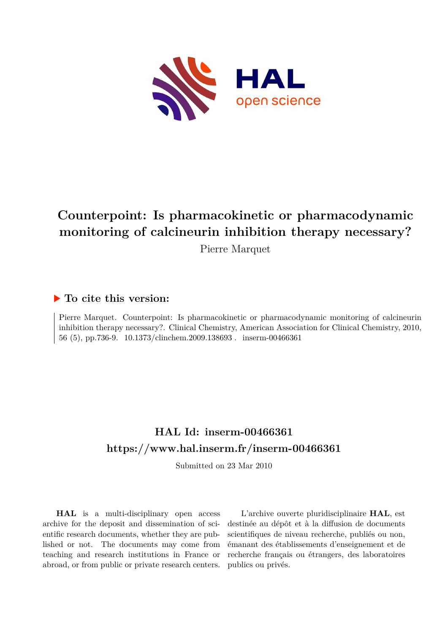

# **Counterpoint: Is pharmacokinetic or pharmacodynamic monitoring of calcineurin inhibition therapy necessary?**

Pierre Marquet

### **To cite this version:**

Pierre Marquet. Counterpoint: Is pharmacokinetic or pharmacodynamic monitoring of calcineurin inhibition therapy necessary?. Clinical Chemistry, American Association for Clinical Chemistry, 2010, 56 (5), pp.736-9. 10.1373/clinchem.2009.138693. inserm-00466361

## **HAL Id: inserm-00466361 <https://www.hal.inserm.fr/inserm-00466361>**

Submitted on 23 Mar 2010

**HAL** is a multi-disciplinary open access archive for the deposit and dissemination of scientific research documents, whether they are published or not. The documents may come from teaching and research institutions in France or abroad, or from public or private research centers.

L'archive ouverte pluridisciplinaire **HAL**, est destinée au dépôt et à la diffusion de documents scientifiques de niveau recherche, publiés ou non, émanant des établissements d'enseignement et de recherche français ou étrangers, des laboratoires publics ou privés.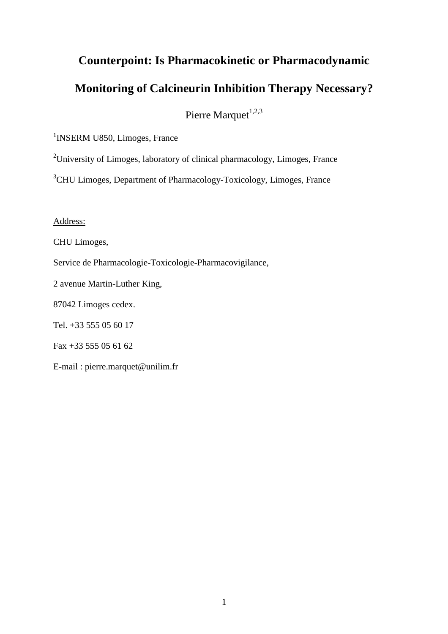# **Counterpoint: Is Pharmacokinetic or Pharmacodynamic Monitoring of Calcineurin Inhibition Therapy Necessary?**

Pierre Marquet<sup>1,2,3</sup>

<sup>1</sup>INSERM U850, Limoges, France

<sup>2</sup>University of Limoges, laboratory of clinical pharmacology, Limoges, France

<sup>3</sup>CHU Limoges, Department of Pharmacology-Toxicology, Limoges, France

Address:

CHU Limoges,

Service de Pharmacologie-Toxicologie-Pharmacovigilance,

2 avenue Martin-Luther King,

87042 Limoges cedex.

Tel. +33 555 05 60 17

Fax +33 555 05 61 62

E-mail : pierre.marquet@unilim.fr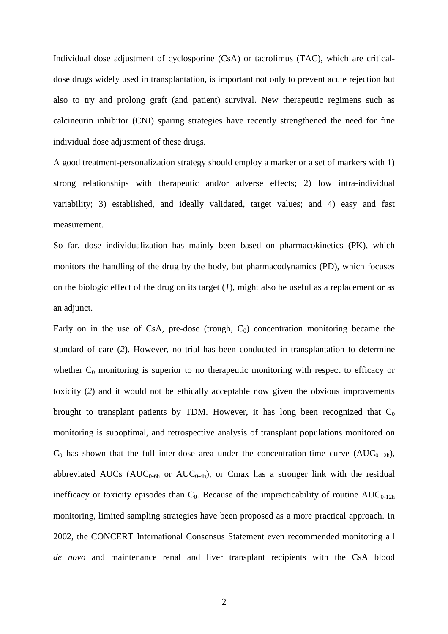Individual dose adjustment of cyclosporine (CsA) or tacrolimus (TAC), which are criticaldose drugs widely used in transplantation, is important not only to prevent acute rejection but also to try and prolong graft (and patient) survival. New therapeutic regimens such as calcineurin inhibitor (CNI) sparing strategies have recently strengthened the need for fine individual dose adjustment of these drugs.

A good treatment-personalization strategy should employ a marker or a set of markers with 1) strong relationships with therapeutic and/or adverse effects; 2) low intra-individual variability; 3) established, and ideally validated, target values; and 4) easy and fast measurement.

So far, dose individualization has mainly been based on pharmacokinetics (PK), which monitors the handling of the drug by the body, but pharmacodynamics (PD), which focuses on the biologic effect of the drug on its target (*1*), might also be useful as a replacement or as an adjunct.

Early on in the use of CsA, pre-dose (trough,  $C_0$ ) concentration monitoring became the standard of care (*2*). However, no trial has been conducted in transplantation to determine whether  $C_0$  monitoring is superior to no therapeutic monitoring with respect to efficacy or toxicity (*2*) and it would not be ethically acceptable now given the obvious improvements brought to transplant patients by TDM. However, it has long been recognized that  $C_0$ monitoring is suboptimal, and retrospective analysis of transplant populations monitored on  $C_0$  has shown that the full inter-dose area under the concentration-time curve (AUC<sub>0-12h</sub>), abbreviated AUCs ( $AUC_{0-6h}$  or  $AUC_{0-4h}$ ), or Cmax has a stronger link with the residual inefficacy or toxicity episodes than  $C_0$ . Because of the impracticability of routine  $AUC_{0-12h}$ monitoring, limited sampling strategies have been proposed as a more practical approach. In 2002, the CONCERT International Consensus Statement even recommended monitoring all *de novo* and maintenance renal and liver transplant recipients with the CsA blood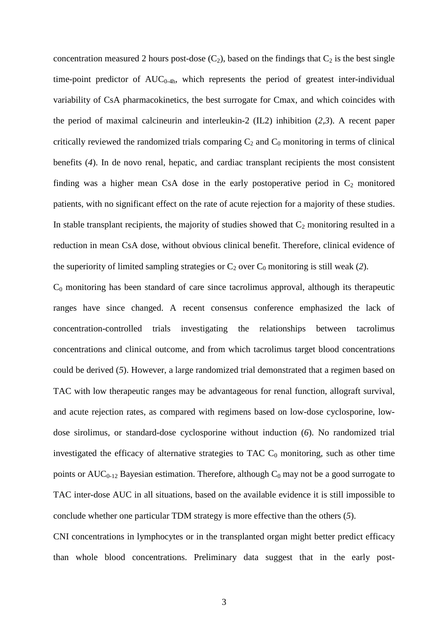concentration measured 2 hours post-dose  $(C_2)$ , based on the findings that  $C_2$  is the best single time-point predictor of  $AUC_{0-4h}$ , which represents the period of greatest inter-individual variability of CsA pharmacokinetics, the best surrogate for Cmax, and which coincides with the period of maximal calcineurin and interleukin-2 (IL2) inhibition (*2,3*). A recent paper critically reviewed the randomized trials comparing  $C_2$  and  $C_0$  monitoring in terms of clinical benefits (*4*). In de novo renal, hepatic, and cardiac transplant recipients the most consistent finding was a higher mean CsA dose in the early postoperative period in  $C_2$  monitored patients, with no significant effect on the rate of acute rejection for a majority of these studies. In stable transplant recipients, the majority of studies showed that  $C_2$  monitoring resulted in a reduction in mean CsA dose, without obvious clinical benefit. Therefore, clinical evidence of the superiority of limited sampling strategies or  $C_2$  over  $C_0$  monitoring is still weak (2).

 $C_0$  monitoring has been standard of care since tacrolimus approval, although its therapeutic ranges have since changed. A recent consensus conference emphasized the lack of concentration-controlled trials investigating the relationships between tacrolimus concentrations and clinical outcome, and from which tacrolimus target blood concentrations could be derived (*5*). However, a large randomized trial demonstrated that a regimen based on TAC with low therapeutic ranges may be advantageous for renal function, allograft survival, and acute rejection rates, as compared with regimens based on low-dose cyclosporine, lowdose sirolimus, or standard-dose cyclosporine without induction (*6*). No randomized trial investigated the efficacy of alternative strategies to TAC  $C_0$  monitoring, such as other time points or  $AUC_{0-12}$  Bayesian estimation. Therefore, although  $C_0$  may not be a good surrogate to TAC inter-dose AUC in all situations, based on the available evidence it is still impossible to conclude whether one particular TDM strategy is more effective than the others (*5*).

CNI concentrations in lymphocytes or in the transplanted organ might better predict efficacy than whole blood concentrations. Preliminary data suggest that in the early post-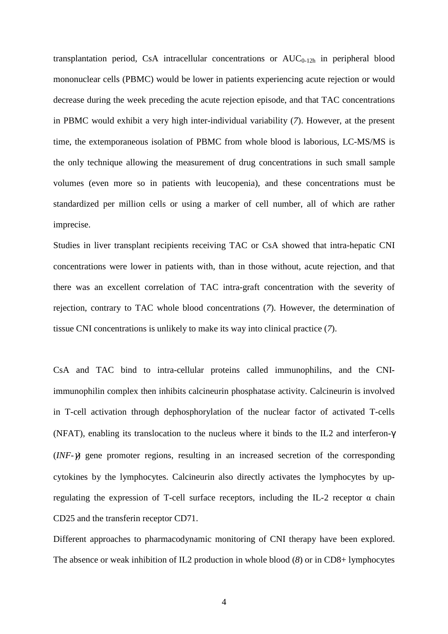transplantation period, CsA intracellular concentrations or  $AUC_{0-12h}$  in peripheral blood mononuclear cells (PBMC) would be lower in patients experiencing acute rejection or would decrease during the week preceding the acute rejection episode, and that TAC concentrations in PBMC would exhibit a very high inter-individual variability (*7*). However, at the present time, the extemporaneous isolation of PBMC from whole blood is laborious, LC-MS/MS is the only technique allowing the measurement of drug concentrations in such small sample volumes (even more so in patients with leucopenia), and these concentrations must be standardized per million cells or using a marker of cell number, all of which are rather imprecise.

Studies in liver transplant recipients receiving TAC or CsA showed that intra-hepatic CNI concentrations were lower in patients with, than in those without, acute rejection, and that there was an excellent correlation of TAC intra-graft concentration with the severity of rejection, contrary to TAC whole blood concentrations (*7*). However, the determination of tissue CNI concentrations is unlikely to make its way into clinical practice (*7*).

CsA and TAC bind to intra-cellular proteins called immunophilins, and the CNIimmunophilin complex then inhibits calcineurin phosphatase activity. Calcineurin is involved in T-cell activation through dephosphorylation of the nuclear factor of activated T-cells (NFAT), enabling its translocation to the nucleus where it binds to the IL2 and interferon-γ (*INF-*γ) gene promoter regions, resulting in an increased secretion of the corresponding cytokines by the lymphocytes. Calcineurin also directly activates the lymphocytes by upregulating the expression of T-cell surface receptors, including the IL-2 receptor α chain CD25 and the transferin receptor CD71.

Different approaches to pharmacodynamic monitoring of CNI therapy have been explored. The absence or weak inhibition of IL2 production in whole blood (*8*) or in CD8+ lymphocytes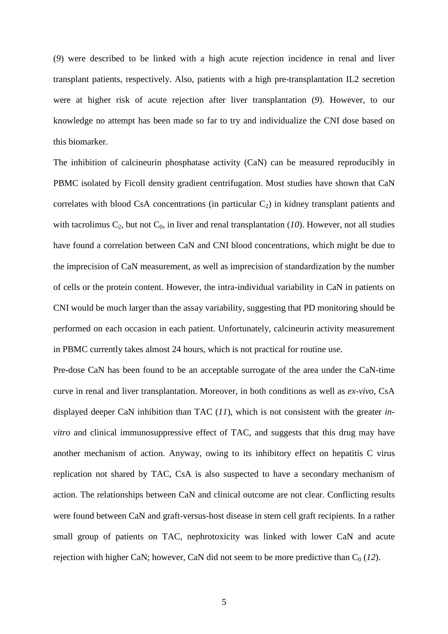(*9*) were described to be linked with a high acute rejection incidence in renal and liver transplant patients, respectively. Also, patients with a high pre-transplantation IL2 secretion were at higher risk of acute rejection after liver transplantation (*9*). However, to our knowledge no attempt has been made so far to try and individualize the CNI dose based on this biomarker.

The inhibition of calcineurin phosphatase activity (CaN) can be measured reproducibly in PBMC isolated by Ficoll density gradient centrifugation. Most studies have shown that CaN correlates with blood CsA concentrations (in particular  $C_2$ ) in kidney transplant patients and with tacrolimus  $C_2$ , but not  $C_0$ , in liver and renal transplantation (10). However, not all studies have found a correlation between CaN and CNI blood concentrations, which might be due to the imprecision of CaN measurement, as well as imprecision of standardization by the number of cells or the protein content. However, the intra-individual variability in CaN in patients on CNI would be much larger than the assay variability, suggesting that PD monitoring should be performed on each occasion in each patient. Unfortunately, calcineurin activity measurement in PBMC currently takes almost 24 hours, which is not practical for routine use.

Pre-dose CaN has been found to be an acceptable surrogate of the area under the CaN-time curve in renal and liver transplantation. Moreover, in both conditions as well as *ex-vivo*, CsA displayed deeper CaN inhibition than TAC (*11*), which is not consistent with the greater *invitro* and clinical immunosuppressive effect of TAC, and suggests that this drug may have another mechanism of action. Anyway, owing to its inhibitory effect on hepatitis C virus replication not shared by TAC, CsA is also suspected to have a secondary mechanism of action. The relationships between CaN and clinical outcome are not clear. Conflicting results were found between CaN and graft-versus-host disease in stem cell graft recipients. In a rather small group of patients on TAC, nephrotoxicity was linked with lower CaN and acute rejection with higher CaN; however, CaN did not seem to be more predictive than  $C_0$  (12).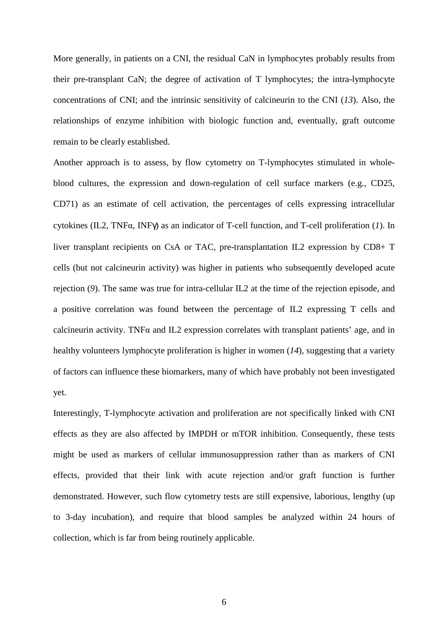More generally, in patients on a CNI, the residual CaN in lymphocytes probably results from their pre-transplant CaN; the degree of activation of T lymphocytes; the intra-lymphocyte concentrations of CNI; and the intrinsic sensitivity of calcineurin to the CNI (*13*). Also, the relationships of enzyme inhibition with biologic function and, eventually, graft outcome remain to be clearly established.

Another approach is to assess, by flow cytometry on T-lymphocytes stimulated in wholeblood cultures, the expression and down-regulation of cell surface markers (e.g., CD25, CD71) as an estimate of cell activation, the percentages of cells expressing intracellular cytokines (IL2, TNFα, INFγ) as an indicator of T-cell function, and T-cell proliferation (*1*). In liver transplant recipients on CsA or TAC, pre-transplantation IL2 expression by CD8+ T cells (but not calcineurin activity) was higher in patients who subsequently developed acute rejection (*9*). The same was true for intra-cellular IL2 at the time of the rejection episode, and a positive correlation was found between the percentage of IL2 expressing T cells and calcineurin activity. TNF $\alpha$  and IL2 expression correlates with transplant patients' age, and in healthy volunteers lymphocyte proliferation is higher in women (*14*), suggesting that a variety of factors can influence these biomarkers, many of which have probably not been investigated yet.

Interestingly, T-lymphocyte activation and proliferation are not specifically linked with CNI effects as they are also affected by IMPDH or mTOR inhibition. Consequently, these tests might be used as markers of cellular immunosuppression rather than as markers of CNI effects, provided that their link with acute rejection and/or graft function is further demonstrated. However, such flow cytometry tests are still expensive, laborious, lengthy (up to 3-day incubation), and require that blood samples be analyzed within 24 hours of collection, which is far from being routinely applicable.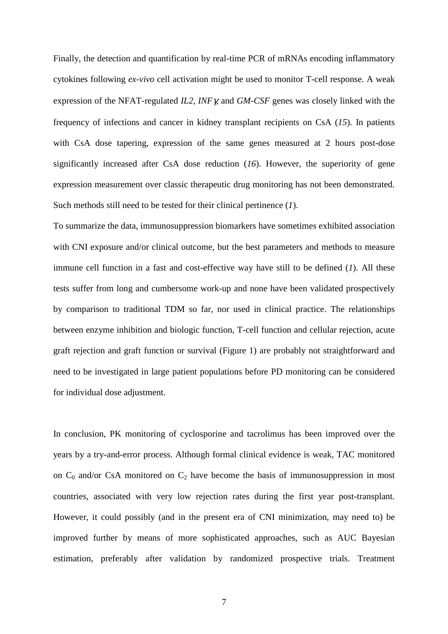Finally, the detection and quantification by real-time PCR of mRNAs encoding inflammatory cytokines following *ex-vivo* cell activation might be used to monitor T-cell response. A weak expression of the NFAT-regulated *IL2*, *INF*γ, and *GM-CSF* genes was closely linked with the frequency of infections and cancer in kidney transplant recipients on CsA (*15*). In patients with CsA dose tapering, expression of the same genes measured at 2 hours post-dose significantly increased after CsA dose reduction (*16*). However, the superiority of gene expression measurement over classic therapeutic drug monitoring has not been demonstrated. Such methods still need to be tested for their clinical pertinence (*1*).

To summarize the data, immunosuppression biomarkers have sometimes exhibited association with CNI exposure and/or clinical outcome, but the best parameters and methods to measure immune cell function in a fast and cost-effective way have still to be defined (*1*). All these tests suffer from long and cumbersome work-up and none have been validated prospectively by comparison to traditional TDM so far, nor used in clinical practice. The relationships between enzyme inhibition and biologic function, T-cell function and cellular rejection, acute graft rejection and graft function or survival (Figure 1) are probably not straightforward and need to be investigated in large patient populations before PD monitoring can be considered for individual dose adjustment.

In conclusion, PK monitoring of cyclosporine and tacrolimus has been improved over the years by a try-and-error process. Although formal clinical evidence is weak, TAC monitored on  $C_0$  and/or CsA monitored on  $C_2$  have become the basis of immunosuppression in most countries, associated with very low rejection rates during the first year post-transplant. However, it could possibly (and in the present era of CNI minimization, may need to) be improved further by means of more sophisticated approaches, such as AUC Bayesian estimation, preferably after validation by randomized prospective trials. Treatment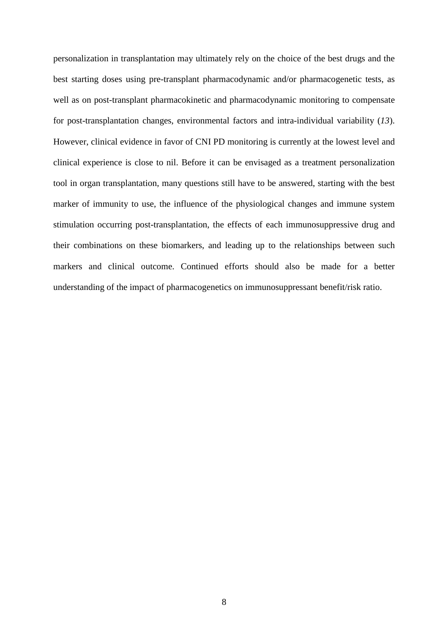personalization in transplantation may ultimately rely on the choice of the best drugs and the best starting doses using pre-transplant pharmacodynamic and/or pharmacogenetic tests, as well as on post-transplant pharmacokinetic and pharmacodynamic monitoring to compensate for post-transplantation changes, environmental factors and intra-individual variability (*13*). However, clinical evidence in favor of CNI PD monitoring is currently at the lowest level and clinical experience is close to nil. Before it can be envisaged as a treatment personalization tool in organ transplantation, many questions still have to be answered, starting with the best marker of immunity to use, the influence of the physiological changes and immune system stimulation occurring post-transplantation, the effects of each immunosuppressive drug and their combinations on these biomarkers, and leading up to the relationships between such markers and clinical outcome. Continued efforts should also be made for a better understanding of the impact of pharmacogenetics on immunosuppressant benefit/risk ratio.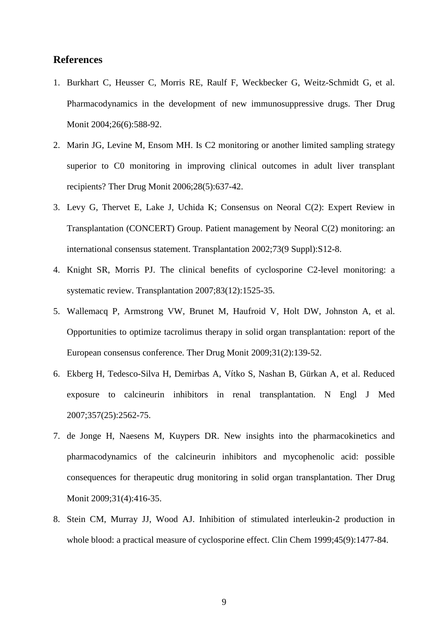#### **References**

- 1. Burkhart C, Heusser C, Morris RE, Raulf F, Weckbecker G, Weitz-Schmidt G, et al. Pharmacodynamics in the development of new immunosuppressive drugs. Ther Drug Monit 2004;26(6):588-92.
- 2. Marin JG, Levine M, Ensom MH. Is C2 monitoring or another limited sampling strategy superior to C0 monitoring in improving clinical outcomes in adult liver transplant recipients? Ther Drug Monit 2006;28(5):637-42.
- 3. Levy G, Thervet E, Lake J, Uchida K; Consensus on Neoral C(2): Expert Review in Transplantation (CONCERT) Group. Patient management by Neoral C(2) monitoring: an international consensus statement. Transplantation 2002;73(9 Suppl):S12-8.
- 4. Knight SR, Morris PJ. The clinical benefits of cyclosporine C2-level monitoring: a systematic review. Transplantation 2007;83(12):1525-35.
- 5. Wallemacq P, Armstrong VW, Brunet M, Haufroid V, Holt DW, Johnston A, et al. Opportunities to optimize tacrolimus therapy in solid organ transplantation: report of the European consensus conference. Ther Drug Monit 2009;31(2):139-52.
- 6. Ekberg H, Tedesco-Silva H, Demirbas A, Vítko S, Nashan B, Gürkan A, et al. Reduced exposure to calcineurin inhibitors in renal transplantation. N Engl J Med 2007;357(25):2562-75.
- 7. de Jonge H, Naesens M, Kuypers DR. New insights into the pharmacokinetics and pharmacodynamics of the calcineurin inhibitors and mycophenolic acid: possible consequences for therapeutic drug monitoring in solid organ transplantation. Ther Drug Monit 2009;31(4):416-35.
- 8. Stein CM, Murray JJ, Wood AJ. Inhibition of stimulated interleukin-2 production in whole blood: a practical measure of cyclosporine effect. Clin Chem 1999;45(9):1477-84.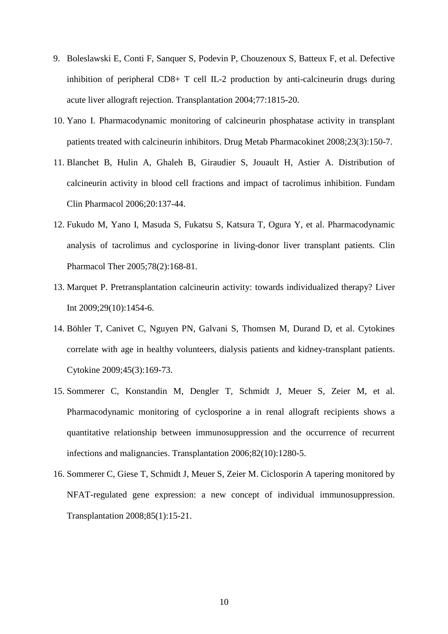- 9. Boleslawski E, Conti F, Sanquer S, Podevin P, Chouzenoux S, Batteux F, et al. Defective inhibition of peripheral CD8+ T cell IL-2 production by anti-calcineurin drugs during acute liver allograft rejection. Transplantation 2004;77:1815-20.
- 10. Yano I. Pharmacodynamic monitoring of calcineurin phosphatase activity in transplant patients treated with calcineurin inhibitors. Drug Metab Pharmacokinet 2008;23(3):150-7.
- 11. Blanchet B, Hulin A, Ghaleh B, Giraudier S, Jouault H, Astier A. Distribution of calcineurin activity in blood cell fractions and impact of tacrolimus inhibition. Fundam Clin Pharmacol 2006;20:137-44.
- 12. Fukudo M, Yano I, Masuda S, Fukatsu S, Katsura T, Ogura Y, et al. Pharmacodynamic analysis of tacrolimus and cyclosporine in living-donor liver transplant patients. Clin Pharmacol Ther 2005;78(2):168-81.
- 13. Marquet P. Pretransplantation calcineurin activity: towards individualized therapy? Liver Int 2009;29(10):1454-6.
- 14. Böhler T, Canivet C, Nguyen PN, Galvani S, Thomsen M, Durand D, et al. Cytokines correlate with age in healthy volunteers, dialysis patients and kidney-transplant patients. Cytokine 2009;45(3):169-73.
- 15. Sommerer C, Konstandin M, Dengler T, Schmidt J, Meuer S, Zeier M, et al. Pharmacodynamic monitoring of cyclosporine a in renal allograft recipients shows a quantitative relationship between immunosuppression and the occurrence of recurrent infections and malignancies. Transplantation 2006;82(10):1280-5.
- 16. Sommerer C, Giese T, Schmidt J, Meuer S, Zeier M. Ciclosporin A tapering monitored by NFAT-regulated gene expression: a new concept of individual immunosuppression. Transplantation 2008;85(1):15-21.